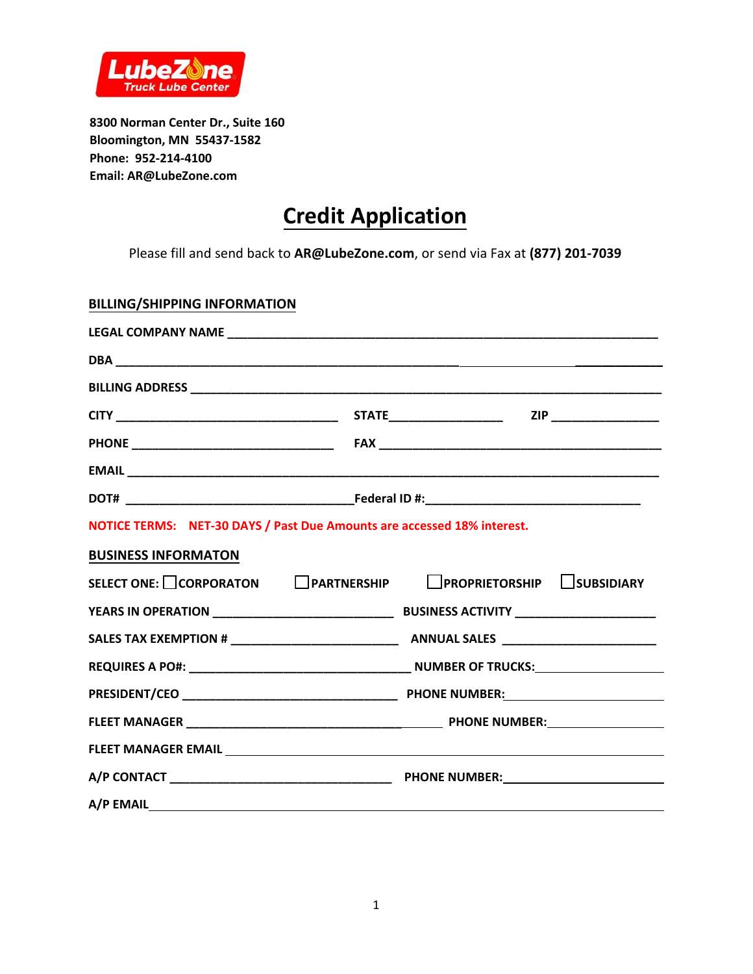

**8300 Norman Center Dr., Suite 160 Bloomington, MN 55437-1582 Phone: 952-214-4100 Email: AR@LubeZone.com** 

## **Credit Application**

Please fill and send back to **AR@LubeZone.com**, or send via Fax at **(877) 201-7039**

## **BILLING/SHIPPING INFORMATION**

| NOTICE TERMS: NET-30 DAYS / Past Due Amounts are accessed 18% interest. |  |  |  |  |
|-------------------------------------------------------------------------|--|--|--|--|
| <b>BUSINESS INFORMATON</b>                                              |  |  |  |  |
| SELECT ONE: CORPORATON CPARTNERSHIP CPROPRIETORSHIP CSUBSIDIARY         |  |  |  |  |
|                                                                         |  |  |  |  |
|                                                                         |  |  |  |  |
|                                                                         |  |  |  |  |
|                                                                         |  |  |  |  |
|                                                                         |  |  |  |  |
|                                                                         |  |  |  |  |
|                                                                         |  |  |  |  |
|                                                                         |  |  |  |  |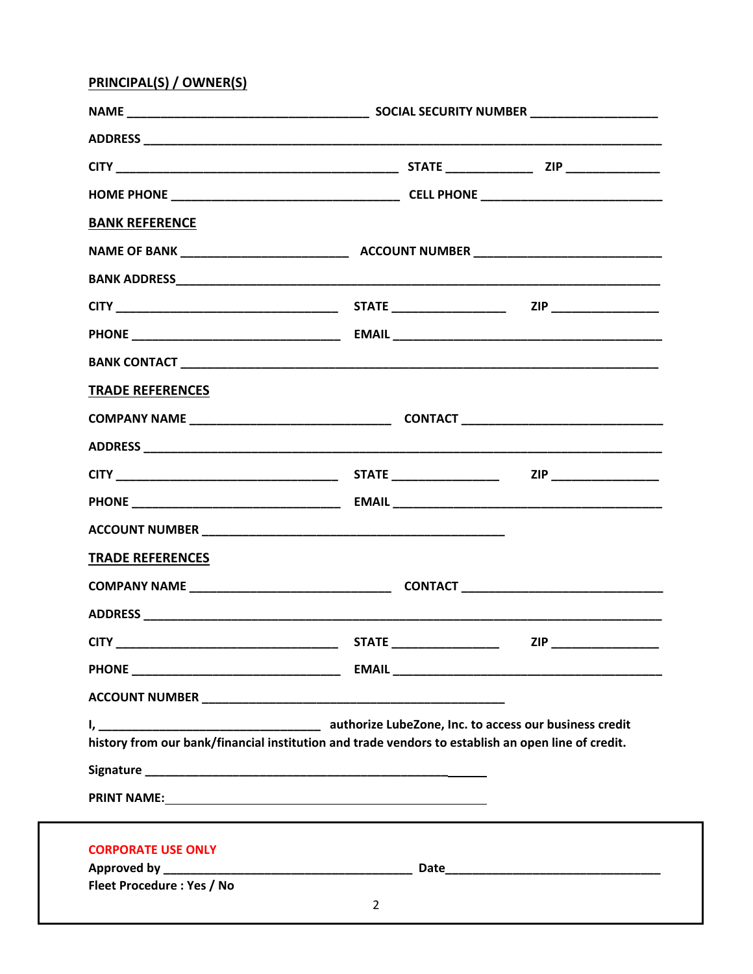## PRINCIPAL(S) / OWNER(S)

| <b>BANK REFERENCE</b>                                                                              |                                |                          |
|----------------------------------------------------------------------------------------------------|--------------------------------|--------------------------|
|                                                                                                    |                                |                          |
|                                                                                                    |                                |                          |
|                                                                                                    |                                |                          |
|                                                                                                    |                                |                          |
|                                                                                                    |                                |                          |
| <b>TRADE REFERENCES</b>                                                                            |                                |                          |
|                                                                                                    |                                |                          |
|                                                                                                    |                                |                          |
|                                                                                                    |                                | ZIP _________________    |
|                                                                                                    |                                |                          |
|                                                                                                    |                                |                          |
| <b>TRADE REFERENCES</b>                                                                            |                                |                          |
|                                                                                                    |                                |                          |
|                                                                                                    |                                |                          |
|                                                                                                    |                                | ZIP ____________________ |
|                                                                                                    |                                |                          |
|                                                                                                    |                                |                          |
| history from our bank/financial institution and trade vendors to establish an open line of credit. |                                |                          |
|                                                                                                    |                                |                          |
|                                                                                                    |                                |                          |
| <b>CORPORATE USE ONLY</b><br>Fleet Procedure: Yes / No                                             |                                |                          |
|                                                                                                    | $2 \left( \frac{1}{2} \right)$ |                          |